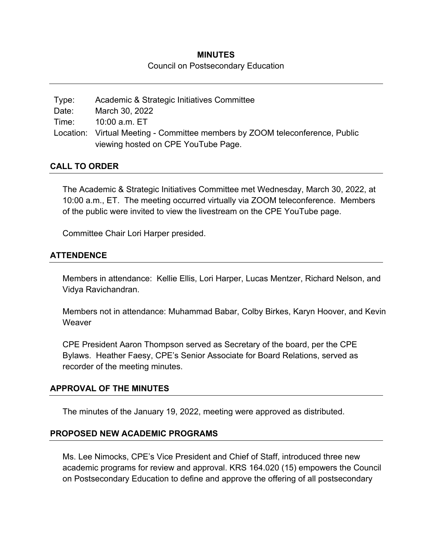## **MINUTES**  Council on Postsecondary Education

| Type: | Academic & Strategic Initiatives Committee                                   |
|-------|------------------------------------------------------------------------------|
| Date: | March 30, 2022                                                               |
| Time: | 10:00 a.m. ET                                                                |
|       | Location: Virtual Meeting - Committee members by ZOOM teleconference, Public |
|       | viewing hosted on CPE YouTube Page.                                          |

#### **CALL TO ORDER**

The Academic & Strategic Initiatives Committee met Wednesday, March 30, 2022, at 10:00 a.m., ET. The meeting occurred virtually via ZOOM teleconference. Members of the public were invited to view the livestream on the CPE YouTube page.

Committee Chair Lori Harper presided.

#### **ATTENDENCE**

Members in attendance: Kellie Ellis, Lori Harper, Lucas Mentzer, Richard Nelson, and Vidya Ravichandran.

Members not in attendance: Muhammad Babar, Colby Birkes, Karyn Hoover, and Kevin **Weaver** 

CPE President Aaron Thompson served as Secretary of the board, per the CPE Bylaws. Heather Faesy, CPE's Senior Associate for Board Relations, served as recorder of the meeting minutes.

#### **APPROVAL OF THE MINUTES**

The minutes of the January 19, 2022, meeting were approved as distributed.

#### **PROPOSED NEW ACADEMIC PROGRAMS**

Ms. Lee Nimocks, CPE's Vice President and Chief of Staff, introduced three new academic programs for review and approval. KRS 164.020 (15) empowers the Council on Postsecondary Education to define and approve the offering of all postsecondary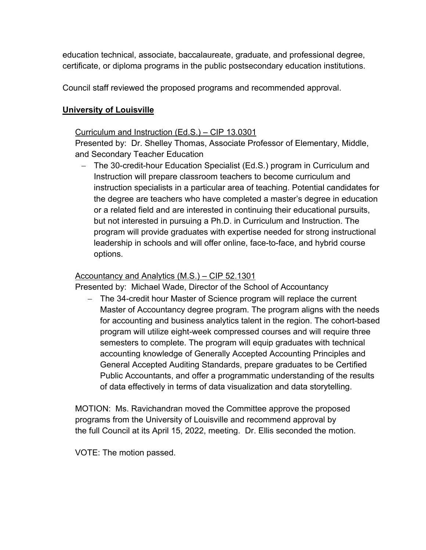education technical, associate, baccalaureate, graduate, and professional degree, certificate, or diploma programs in the public postsecondary education institutions.

Council staff reviewed the proposed programs and recommended approval.

## **University of Louisville**

### Curriculum and Instruction (Ed.S.) – CIP 13.0301

Presented by: Dr. Shelley Thomas, Associate Professor of Elementary, Middle, and Secondary Teacher Education

- The 30-credit-hour Education Specialist (Ed.S.) program in Curriculum and Instruction will prepare classroom teachers to become curriculum and instruction specialists in a particular area of teaching. Potential candidates for the degree are teachers who have completed a master's degree in education or a related field and are interested in continuing their educational pursuits, but not interested in pursuing a Ph.D. in Curriculum and Instruction. The program will provide graduates with expertise needed for strong instructional leadership in schools and will offer online, face-to-face, and hybrid course options.

### Accountancy and Analytics (M.S.) – CIP 52.1301

Presented by: Michael Wade, Director of the School of Accountancy

- The 34-credit hour Master of Science program will replace the current Master of Accountancy degree program. The program aligns with the needs for accounting and business analytics talent in the region. The cohort-based program will utilize eight-week compressed courses and will require three semesters to complete. The program will equip graduates with technical accounting knowledge of Generally Accepted Accounting Principles and General Accepted Auditing Standards, prepare graduates to be Certified Public Accountants, and offer a programmatic understanding of the results of data effectively in terms of data visualization and data storytelling.

MOTION: Ms. Ravichandran moved the Committee approve the proposed programs from the University of Louisville and recommend approval by the full Council at its April 15, 2022, meeting. Dr. Ellis seconded the motion.

VOTE: The motion passed.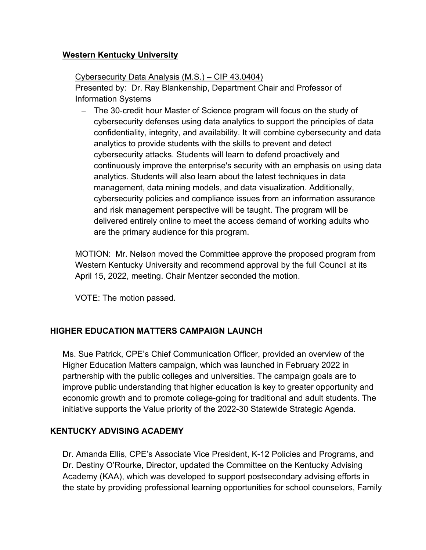### **Western Kentucky University**

## Cybersecurity Data Analysis (M.S.) – CIP 43.0404)

Presented by: Dr. Ray Blankenship, Department Chair and Professor of Information Systems

- The 30-credit hour Master of Science program will focus on the study of cybersecurity defenses using data analytics to support the principles of data confidentiality, integrity, and availability. It will combine cybersecurity and data analytics to provide students with the skills to prevent and detect cybersecurity attacks. Students will learn to defend proactively and continuously improve the enterprise's security with an emphasis on using data analytics. Students will also learn about the latest techniques in data management, data mining models, and data visualization. Additionally, cybersecurity policies and compliance issues from an information assurance and risk management perspective will be taught. The program will be delivered entirely online to meet the access demand of working adults who are the primary audience for this program.

MOTION: Mr. Nelson moved the Committee approve the proposed program from Western Kentucky University and recommend approval by the full Council at its April 15, 2022, meeting. Chair Mentzer seconded the motion.

VOTE: The motion passed.

# **HIGHER EDUCATION MATTERS CAMPAIGN LAUNCH**

Ms. Sue Patrick, CPE's Chief Communication Officer, provided an overview of the Higher Education Matters campaign, which was launched in February 2022 in partnership with the public colleges and universities. The campaign goals are to improve public understanding that higher education is key to greater opportunity and economic growth and to promote college-going for traditional and adult students. The initiative supports the Value priority of the 2022-30 Statewide Strategic Agenda.

# **KENTUCKY ADVISING ACADEMY**

Dr. Amanda Ellis, CPE's Associate Vice President, K-12 Policies and Programs, and Dr. Destiny O'Rourke, Director, updated the Committee on the Kentucky Advising Academy (KAA), which was developed to support postsecondary advising efforts in the state by providing professional learning opportunities for school counselors, Family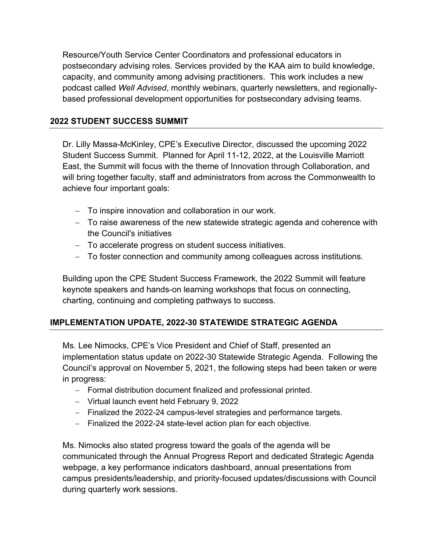Resource/Youth Service Center Coordinators and professional educators in postsecondary advising roles. Services provided by the KAA aim to build knowledge, capacity, and community among advising practitioners. This work includes a new podcast called *Well Advised*, monthly webinars, quarterly newsletters, and regionallybased professional development opportunities for postsecondary advising teams.

### **2022 STUDENT SUCCESS SUMMIT**

Dr. Lilly Massa-McKinley, CPE's Executive Director, discussed the upcoming 2022 Student Success Summit. Planned for April 11-12, 2022, at the Louisville Marriott East, the Summit will focus with the theme of Innovation through Collaboration, and will bring together faculty, staff and administrators from across the Commonwealth to achieve four important goals:

- To inspire innovation and collaboration in our work.
- To raise awareness of the new statewide strategic agenda and coherence with the Council's initiatives
- To accelerate progress on student success initiatives.
- To foster connection and community among colleagues across institutions.

Building upon the CPE Student Success Framework, the 2022 Summit will feature keynote speakers and hands-on learning workshops that focus on connecting, charting, continuing and completing pathways to success.

### **IMPLEMENTATION UPDATE, 2022-30 STATEWIDE STRATEGIC AGENDA**

Ms. Lee Nimocks, CPE's Vice President and Chief of Staff, presented an implementation status update on 2022-30 Statewide Strategic Agenda. Following the Council's approval on November 5, 2021, the following steps had been taken or were in progress:

- Formal distribution document finalized and professional printed.
- Virtual launch event held February 9, 2022
- Finalized the 2022-24 campus-level strategies and performance targets.
- Finalized the 2022-24 state-level action plan for each objective.

Ms. Nimocks also stated progress toward the goals of the agenda will be communicated through the Annual Progress Report and dedicated Strategic Agenda webpage, a key performance indicators dashboard, annual presentations from campus presidents/leadership, and priority-focused updates/discussions with Council during quarterly work sessions.